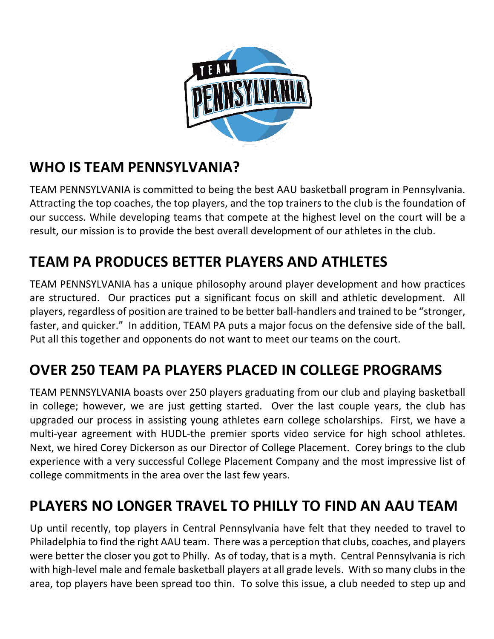

## **WHO IS TEAM PENNSYLVANIA?**

TEAM PENNSYLVANIA is committed to being the best AAU basketball program in Pennsylvania. Attracting the top coaches, the top players, and the top trainers to the club is the foundation of our success. While developing teams that compete at the highest level on the court will be a result, our mission is to provide the best overall development of our athletes in the club.

# **TEAM PA PRODUCES BETTER PLAYERS AND ATHLETES**

TEAM PENNSYLVANIA has a unique philosophy around player development and how practices are structured. Our practices put a significant focus on skill and athletic development. All players, regardless of position are trained to be better ball-handlers and trained to be "stronger, faster, and quicker." In addition, TEAM PA puts a major focus on the defensive side of the ball. Put all this together and opponents do not want to meet our teams on the court.

# **OVER 250 TEAM PA PLAYERS PLACED IN COLLEGE PROGRAMS**

TEAM PENNSYLVANIA boasts over 250 players graduating from our club and playing basketball in college; however, we are just getting started. Over the last couple years, the club has upgraded our process in assisting young athletes earn college scholarships. First, we have a multi-year agreement with HUDL-the premier sports video service for high school athletes. Next, we hired Corey Dickerson as our Director of College Placement. Corey brings to the club experience with a very successful College Placement Company and the most impressive list of college commitments in the area over the last few years.

## **PLAYERS NO LONGER TRAVEL TO PHILLY TO FIND AN AAU TEAM**

Up until recently, top players in Central Pennsylvania have felt that they needed to travel to Philadelphia to find the right AAU team. There was a perception that clubs, coaches, and players were better the closer you got to Philly. As of today, that is a myth. Central Pennsylvania is rich with high-level male and female basketball players at all grade levels. With so many clubs in the area, top players have been spread too thin. To solve this issue, a club needed to step up and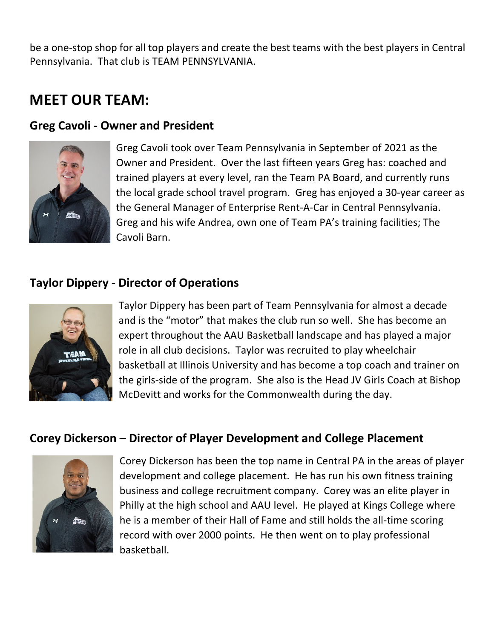be a one-stop shop for all top players and create the best teams with the best players in Central Pennsylvania. That club is TEAM PENNSYLVANIA.

### **MEET OUR TEAM:**

#### **Greg Cavoli - Owner and President**



Greg Cavoli took over Team Pennsylvania in September of 2021 as the Owner and President. Over the last fifteen years Greg has: coached and trained players at every level, ran the Team PA Board, and currently runs the local grade school travel program. Greg has enjoyed a 30-year career as the General Manager of Enterprise Rent-A-Car in Central Pennsylvania. Greg and his wife Andrea, own one of Team PA's training facilities; The Cavoli Barn.

#### **Taylor Dippery - Director of Operations**



Taylor Dippery has been part of Team Pennsylvania for almost a decade and is the "motor" that makes the club run so well. She has become an expert throughout the AAU Basketball landscape and has played a major role in all club decisions. Taylor was recruited to play wheelchair basketball at Illinois University and has become a top coach and trainer on the girls-side of the program. She also is the Head JV Girls Coach at Bishop McDevitt and works for the Commonwealth during the day.

#### **Corey Dickerson – Director of Player Development and College Placement**



Corey Dickerson has been the top name in Central PA in the areas of player development and college placement. He has run his own fitness training business and college recruitment company. Corey was an elite player in Philly at the high school and AAU level. He played at Kings College where he is a member of their Hall of Fame and still holds the all-time scoring record with over 2000 points. He then went on to play professional basketball.